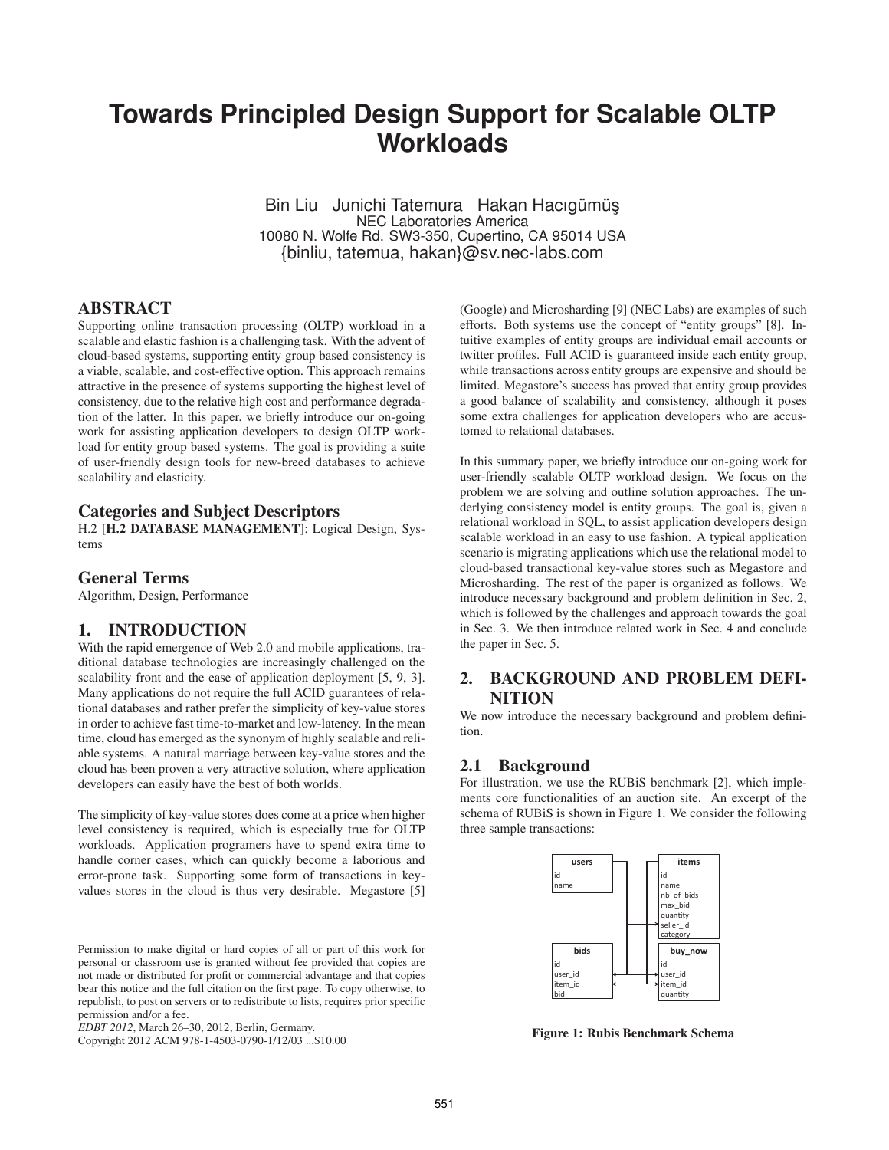# **Towards Principled Design Support for Scalable OLTP Workloads**

Bin Liu Junichi Tatemura Hakan Hacıgümüş NEC Laboratories America 10080 N. Wolfe Rd. SW3-350, Cupertino, CA 95014 USA {binliu, tatemua, hakan}@sv.nec-labs.com

## ABSTRACT

Supporting online transaction processing (OLTP) workload in a scalable and elastic fashion is a challenging task. With the advent of cloud-based systems, supporting entity group based consistency is a viable, scalable, and cost-effective option. This approach remains attractive in the presence of systems supporting the highest level of consistency, due to the relative high cost and performance degradation of the latter. In this paper, we briefly introduce our on-going work for assisting application developers to design OLTP workload for entity group based systems. The goal is providing a suite of user-friendly design tools for new-breed databases to achieve scalability and elasticity.

## Categories and Subject Descriptors

H.2 [H.2 DATABASE MANAGEMENT]: Logical Design, Systems

## General Terms

Algorithm, Design, Performance

## 1. INTRODUCTION

With the rapid emergence of Web 2.0 and mobile applications, traditional database technologies are increasingly challenged on the scalability front and the ease of application deployment [5, 9, 3]. Many applications do not require the full ACID guarantees of relational databases and rather prefer the simplicity of key-value stores in order to achieve fast time-to-market and low-latency. In the mean time, cloud has emerged as the synonym of highly scalable and reliable systems. A natural marriage between key-value stores and the cloud has been proven a very attractive solution, where application developers can easily have the best of both worlds.

The simplicity of key-value stores does come at a price when higher level consistency is required, which is especially true for OLTP workloads. Application programers have to spend extra time to handle corner cases, which can quickly become a laborious and error-prone task. Supporting some form of transactions in keyvalues stores in the cloud is thus very desirable. Megastore [5]

Permission to make digital or hard copies of all or part of this work for personal or classroom use is granted without fee provided that copies are not made or distributed for profit or commercial advantage and that copies bear this notice and the full citation on the first page. To copy otherwise, to republish, to post on servers or to redistribute to lists, requires prior specific permission and/or a fee.

Copyright 2012 ACM 978-1-4503-0790-1/12/03 ...\$10.00

(Google) and Microsharding [9] (NEC Labs) are examples of such efforts. Both systems use the concept of "entity groups" [8]. Intuitive examples of entity groups are individual email accounts or twitter profiles. Full ACID is guaranteed inside each entity group, while transactions across entity groups are expensive and should be limited. Megastore's success has proved that entity group provides a good balance of scalability and consistency, although it poses some extra challenges for application developers who are accustomed to relational databases.

In this summary paper, we briefly introduce our on-going work for user-friendly scalable OLTP workload design. We focus on the problem we are solving and outline solution approaches. The underlying consistency model is entity groups. The goal is, given a relational workload in SQL, to assist application developers design scalable workload in an easy to use fashion. A typical application scenario is migrating applications which use the relational model to cloud-based transactional key-value stores such as Megastore and Microsharding. The rest of the paper is organized as follows. We introduce necessary background and problem definition in Sec. 2, which is followed by the challenges and approach towards the goal in Sec. 3. We then introduce related work in Sec. 4 and conclude the paper in Sec. 5.

# 2. BACKGROUND AND PROBLEM DEFI-NITION

We now introduce the necessary background and problem definition.

#### 2.1 Background

For illustration, we use the RUBiS benchmark [2], which implements core functionalities of an auction site. An excerpt of the schema of RUBiS is shown in Figure 1. We consider the following three sample transactions:



Figure 1: Rubis Benchmark Schema

*EDBT 2012*, March 26–30, 2012, Berlin, Germany.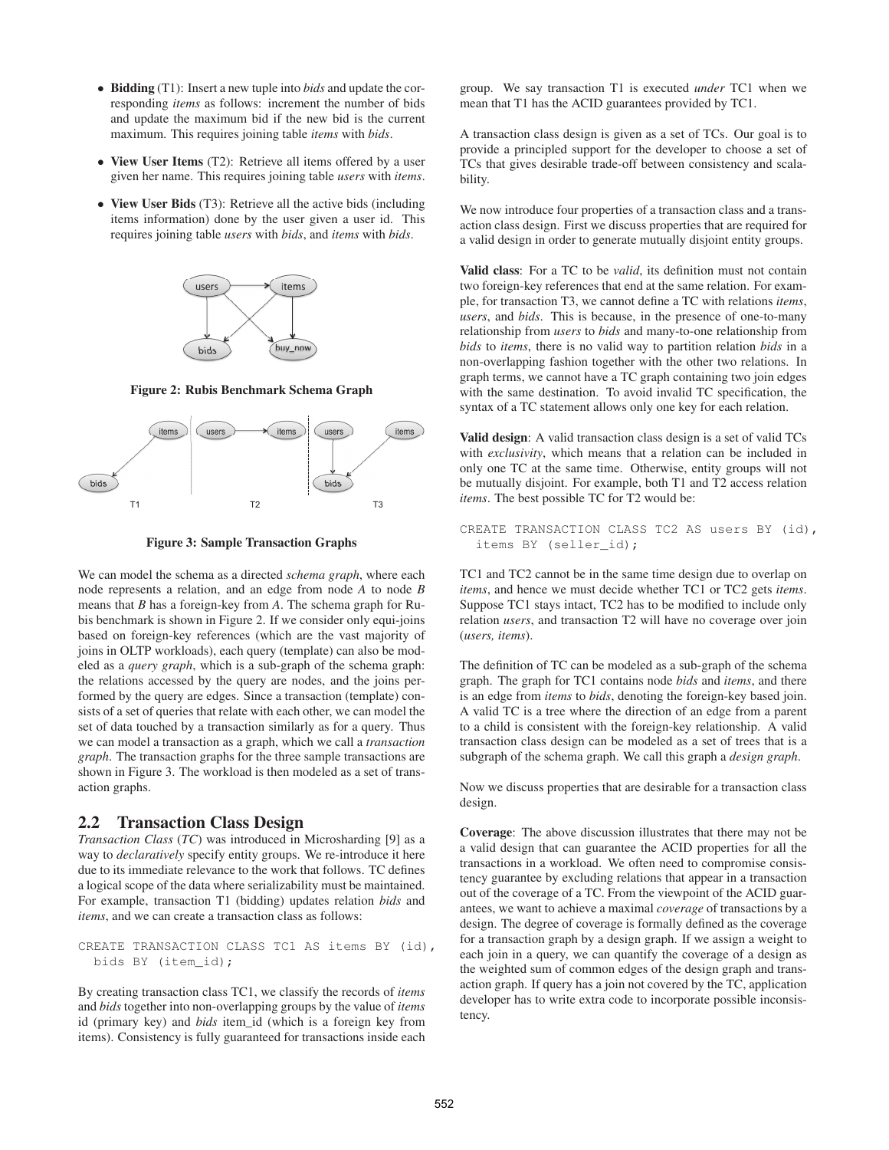- Bidding (T1): Insert a new tuple into *bids* and update the corresponding *items* as follows: increment the number of bids and update the maximum bid if the new bid is the current maximum. This requires joining table *items* with *bids*.
- View User Items (T2): Retrieve all items offered by a user given her name. This requires joining table *users* with *items*.
- View User Bids (T3): Retrieve all the active bids (including items information) done by the user given a user id. This requires joining table *users* with *bids*, and *items* with *bids*.



Figure 2: Rubis Benchmark Schema Graph



Figure 3: Sample Transaction Graphs

We can model the schema as a directed *schema graph*, where each node represents a relation, and an edge from node *A* to node *B* means that *B* has a foreign-key from *A*. The schema graph for Rubis benchmark is shown in Figure 2. If we consider only equi-joins based on foreign-key references (which are the vast majority of joins in OLTP workloads), each query (template) can also be modeled as a *query graph*, which is a sub-graph of the schema graph: the relations accessed by the query are nodes, and the joins performed by the query are edges. Since a transaction (template) consists of a set of queries that relate with each other, we can model the set of data touched by a transaction similarly as for a query. Thus we can model a transaction as a graph, which we call a *transaction graph*. The transaction graphs for the three sample transactions are shown in Figure 3. The workload is then modeled as a set of transaction graphs.

#### 2.2 Transaction Class Design

*Transaction Class* (*TC*) was introduced in Microsharding [9] as a way to *declaratively* specify entity groups. We re-introduce it here due to its immediate relevance to the work that follows. TC defines a logical scope of the data where serializability must be maintained. For example, transaction T1 (bidding) updates relation *bids* and *items*, and we can create a transaction class as follows:

CREATE TRANSACTION CLASS TC1 AS items BY (id), bids BY (item\_id);

By creating transaction class TC1, we classify the records of *items* and *bids* together into non-overlapping groups by the value of *items* id (primary key) and *bids* item\_id (which is a foreign key from items). Consistency is fully guaranteed for transactions inside each group. We say transaction T1 is executed *under* TC1 when we mean that T1 has the ACID guarantees provided by TC1.

A transaction class design is given as a set of TCs. Our goal is to provide a principled support for the developer to choose a set of TCs that gives desirable trade-off between consistency and scalability.

We now introduce four properties of a transaction class and a transaction class design. First we discuss properties that are required for a valid design in order to generate mutually disjoint entity groups.

Valid class: For a TC to be *valid*, its definition must not contain two foreign-key references that end at the same relation. For example, for transaction T3, we cannot define a TC with relations *items*, *users*, and *bids*. This is because, in the presence of one-to-many relationship from *users* to *bids* and many-to-one relationship from *bids* to *items*, there is no valid way to partition relation *bids* in a non-overlapping fashion together with the other two relations. In graph terms, we cannot have a TC graph containing two join edges with the same destination. To avoid invalid TC specification, the syntax of a TC statement allows only one key for each relation.

Valid design: A valid transaction class design is a set of valid TCs with *exclusivity*, which means that a relation can be included in only one TC at the same time. Otherwise, entity groups will not be mutually disjoint. For example, both T1 and T2 access relation *items*. The best possible TC for T2 would be:

CREATE TRANSACTION CLASS TC2 AS users BY (id), items BY (seller\_id);

TC1 and TC2 cannot be in the same time design due to overlap on *items*, and hence we must decide whether TC1 or TC2 gets *items*. Suppose TC1 stays intact, TC2 has to be modified to include only relation *users*, and transaction T2 will have no coverage over join (*users, items*).

The definition of TC can be modeled as a sub-graph of the schema graph. The graph for TC1 contains node *bids* and *items*, and there is an edge from *items* to *bids*, denoting the foreign-key based join. A valid TC is a tree where the direction of an edge from a parent to a child is consistent with the foreign-key relationship. A valid transaction class design can be modeled as a set of trees that is a subgraph of the schema graph. We call this graph a *design graph*.

Now we discuss properties that are desirable for a transaction class design.

Coverage: The above discussion illustrates that there may not be a valid design that can guarantee the ACID properties for all the transactions in a workload. We often need to compromise consistency guarantee by excluding relations that appear in a transaction out of the coverage of a TC. From the viewpoint of the ACID guarantees, we want to achieve a maximal *coverage* of transactions by a design. The degree of coverage is formally defined as the coverage for a transaction graph by a design graph. If we assign a weight to each join in a query, we can quantify the coverage of a design as the weighted sum of common edges of the design graph and transaction graph. If query has a join not covered by the TC, application developer has to write extra code to incorporate possible inconsistency.